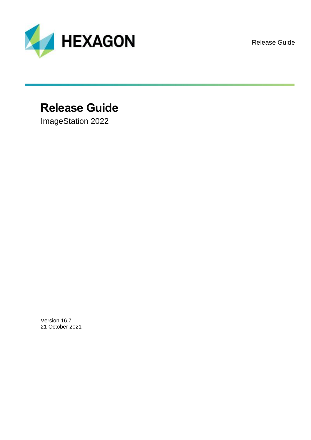

Release Guide

## **Release Guide**

ImageStation 2022

Version 16.7 21 October 2021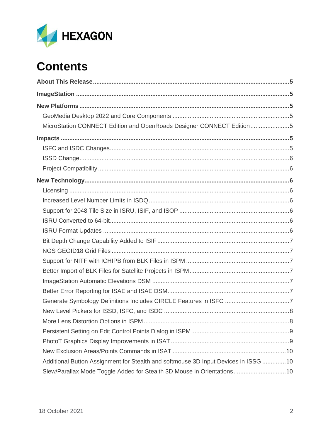

# **Contents**

| MicroStation CONNECT Edition and OpenRoads Designer CONNECT Edition5               |
|------------------------------------------------------------------------------------|
|                                                                                    |
|                                                                                    |
|                                                                                    |
|                                                                                    |
|                                                                                    |
|                                                                                    |
|                                                                                    |
|                                                                                    |
|                                                                                    |
|                                                                                    |
|                                                                                    |
|                                                                                    |
|                                                                                    |
|                                                                                    |
|                                                                                    |
|                                                                                    |
|                                                                                    |
|                                                                                    |
|                                                                                    |
|                                                                                    |
|                                                                                    |
|                                                                                    |
| Additional Button Assignment for Stealth and softmouse 3D Input Devices in ISSG 10 |
| Slew/Parallax Mode Toggle Added for Stealth 3D Mouse in Orientations 10            |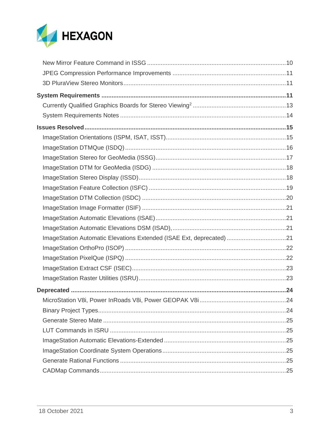

| ImageStation Automatic Elevations Extended (ISAE Ext, deprecated) 21 |  |
|----------------------------------------------------------------------|--|
|                                                                      |  |
|                                                                      |  |
|                                                                      |  |
|                                                                      |  |
|                                                                      |  |
|                                                                      |  |
|                                                                      |  |
|                                                                      |  |
|                                                                      |  |
|                                                                      |  |
|                                                                      |  |
|                                                                      |  |
|                                                                      |  |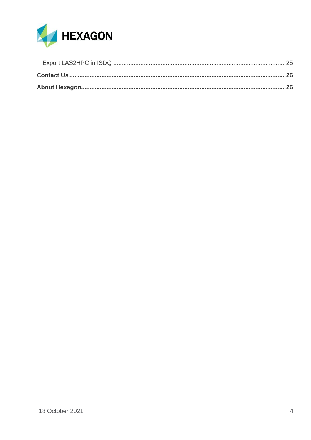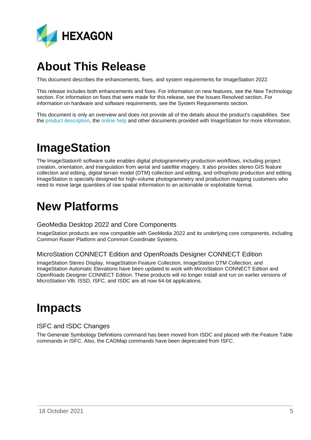

## <span id="page-4-0"></span>**About This Release**

This document describes the enhancements, fixes, and system requirements for ImageStation 2022.

This release includes both enhancements and fixes. For information on new features, see the New Technology section. For information on fixes that were made for this release, see the Issues Resolved section. For information on hardware and software requirements, see the System Requirements section.

This document is only an overview and does not provide all of the details about the product's capabilities. See the [product description,](https://bynder.hexagon.com/m/72434bdb8ce6ddc1/original/Hexagon_GSP_ImageStation_Product_Description_2022.pdf) the [online help](https://hexagongeospatial.fluidtopics.net/search/all?filters=HGD_Product~%2522ImageStation%2522&content-lang=en-US) and other documents provided with ImageStation for more information.

## <span id="page-4-1"></span>**ImageStation**

The ImageStation® software suite enables digital photogrammetry production workflows, including project creation, orientation, and triangulation from aerial and satellite imagery. It also provides stereo GIS feature collection and editing, digital terrain model (DTM) collection and editing, and orthophoto production and editing. ImageStation is specially designed for high-volume photogrammetry and production mapping customers who need to move large quantities of raw spatial information to an actionable or exploitable format.

## <span id="page-4-2"></span>**New Platforms**

### <span id="page-4-3"></span>GeoMedia Desktop 2022 and Core Components

ImageStation products are now compatible with GeoMedia 2022 and its underlying core components, including Common Raster Platform and Common Coordinate Systems.

### <span id="page-4-4"></span>MicroStation CONNECT Edition and OpenRoads Designer CONNECT Edition

ImageStation Stereo Display, ImageStation Feature Collection, ImageStation DTM Collection, and ImageStation Automatic Elevations have been updated to work with MicroStation CONNECT Edition and OpenRoads Designer CONNECT Edition. These products will no longer install and run on earlier versions of MicroStation V8i. ISSD, ISFC, and ISDC are all now 64-bit applications.

## <span id="page-4-5"></span>**Impacts**

### <span id="page-4-6"></span>ISFC and ISDC Changes

The Generate Symbology Definitions command has been moved from ISDC and placed with the Feature Table commands in ISFC. Also, the CADMap commands have been deprecated from ISFC.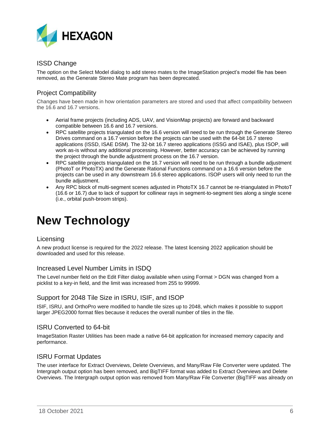

### <span id="page-5-0"></span>ISSD Change

The option on the Select Model dialog to add stereo mates to the ImageStation project's model file has been removed, as the Generate Stereo Mate program has been deprecated.

### <span id="page-5-1"></span>Project Compatibility

Changes have been made in how orientation parameters are stored and used that affect compatibility between the 16.6 and 16.7 versions.

- Aerial frame projects (including ADS, UAV, and VisionMap projects) are forward and backward compatible between 16.6 and 16.7 versions.
- RPC satellite projects triangulated on the 16.6 version will need to be run through the Generate Stereo Drives command on a 16.7 version before the projects can be used with the 64-bit 16.7 stereo applications (ISSD, ISAE DSM). The 32-bit 16.7 stereo applications (ISSG and ISAE), plus ISOP, will work as-is without any additional processing. However, better accuracy can be achieved by running the project through the bundle adjustment process on the 16.7 version.
- RPC satellite projects triangulated on the 16.7 version will need to be run through a bundle adjustment (PhotoT or PhotoTX) and the Generate Rational Functions command on a 16.6 version before the projects can be used in any downstream 16.6 stereo applications. ISOP users will only need to run the bundle adjustment.
- Any RPC block of multi-segment scenes adjusted in PhotoTX 16.7 cannot be re-triangulated in PhotoT (16.6 or 16.7) due to lack of support for collinear rays in segment-to-segment ties along a single scene (i.e., orbital push-broom strips).

## <span id="page-5-2"></span>**New Technology**

#### <span id="page-5-3"></span>Licensing

A new product license is required for the 2022 release. The latest licensing 2022 application should be downloaded and used for this release.

### <span id="page-5-4"></span>Increased Level Number Limits in ISDQ

The Level number field on the Edit Filter dialog available when using Format > DGN was changed from a picklist to a key-in field, and the limit was increased from 255 to 99999.

### <span id="page-5-5"></span>Support for 2048 Tile Size in ISRU, ISIF, and ISOP

ISIF, ISRU, and OrthoPro were modified to handle tile sizes up to 2048, which makes it possible to support larger JPEG2000 format files because it reduces the overall number of tiles in the file.

#### <span id="page-5-6"></span>ISRU Converted to 64-bit

ImageStation Raster Utilities has been made a native 64-bit application for increased memory capacity and performance.

### <span id="page-5-7"></span>ISRU Format Updates

The user interface for Extract Overviews, Delete Overviews, and Many/Raw File Converter were updated. The Intergraph output option has been removed, and BigTIFF format was added to Extract Overviews and Delete Overviews. The Intergraph output option was removed from Many/Raw File Converter (BigTIFF was already on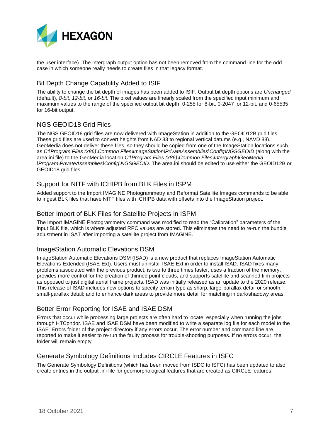

the user interface). The Intergraph output option has not been removed from the command line for the odd case in which someone really needs to create files in that legacy format.

### <span id="page-6-0"></span>Bit Depth Change Capability Added to ISIF

The ability to change the bit depth of images has been added to ISIF. Output bit depth options are *Unchanged* (default), *8-bit*, *12-bit*, or *16-bit*. The pixel values are linearly scaled from the specified input minimum and maximum values to the range of the specified output bit depth: 0-255 for 8-bit, 0-2047 for 12-bit, and 0-65535 for 16-bit output.

### <span id="page-6-1"></span>NGS GEOID18 Grid Files

The NGS GEOID18 grid files are now delivered with ImageStation in addition to the GEOID12B grid files. These grid files are used to convert heights from NAD 83 to regional vertical datums (e.g., NAVD 88). GeoMedia does not deliver these files, so they should be copied from one of the ImageStation locations such as *C:\Program Files (x86)\Common Files\ImageStation\PrivateAssemblies\Config\NGSGEOID* (along with the area.ini file) to the GeoMedia location *C:\Program Files (x86)\Common Files\Intergraph\GeoMedia \Program\PrivateAssemblies\Config\NGSGEOID*. The area.ini should be edited to use either the GEOID12B or GEOID18 grid files.

### <span id="page-6-2"></span>Support for NITF with ICHIPB from BLK Files in ISPM

Added support to the Import IMAGINE Photogrammetry and Reformat Satellite Images commands to be able to ingest BLK files that have NITF files with ICHIPB data with offsets into the ImageStation project.

### <span id="page-6-3"></span>Better Import of BLK Files for Satellite Projects in ISPM

The Import IMAGINE Photogrammetry command was modified to read the "Calibration" parameters of the input BLK file, which is where adjusted RPC values are stored. This eliminates the need to re-run the bundle adjustment in ISAT after importing a satellite project from IMAGINE.

### <span id="page-6-4"></span>ImageStation Automatic Elevations DSM

ImageStation Automatic Elevations DSM (ISAD) is a new product that replaces ImageStation Automatic Elevations-Extended (ISAE-Ext). Users must uninstall ISAE-Ext in order to install ISAD. ISAD fixes many problems associated with the previous product, is two to three times faster, uses a fraction of the memory, provides more control for the creation of thinned point clouds, and supports satellite and scanned film projects as opposed to just digital aerial frame projects. ISAD was initially released as an update to the 2020 release. This release of ISAD includes new options to specify terrain type as sharp, large-parallax detail or smooth, small-parallax detail; and to enhance dark areas to provide more detail for matching in dark/shadowy areas.

### <span id="page-6-5"></span>Better Error Reporting for ISAE and ISAE DSM

Errors that occur while processing large projects are often hard to locate, especially when running the jobs through HTCondor. ISAE and ISAE DSM have been modified to write a separate log file for each model to the ISAE\_Errors folder of the project directory if any errors occur. The error number and command line are reported to make it easier to re-run the faulty process for trouble-shooting purposes. If no errors occur, the folder will remain empty.

### <span id="page-6-6"></span>Generate Symbology Definitions Includes CIRCLE Features in ISFC

The Generate Symbology Definitions (which has been moved from ISDC to ISFC) has been updated to also create entries in the output .ini file for geomorphological features that are created as CIRCLE features.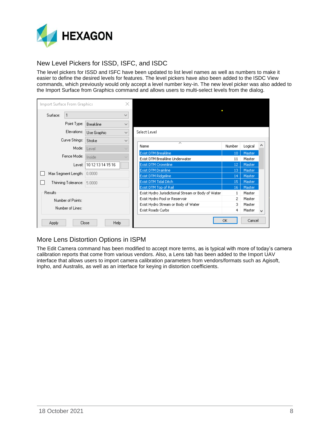

### <span id="page-7-0"></span>New Level Pickers for ISSD, ISFC, and ISDC

The level pickers for ISSD and ISFC have been updated to list level names as well as numbers to make it easier to define the desired levels for features. The level pickers have also been added to the ISDC View commands, which previously would only accept a level number key-in. The new level picker was also added to the Import Surface from Graphics command and allows users to multi-select levels from the dialog.

| Import Surface From Graphics |                            |                   | ×            |                                                                      |          |                  |              |
|------------------------------|----------------------------|-------------------|--------------|----------------------------------------------------------------------|----------|------------------|--------------|
| Surface:                     | $\mathbf{1}$               |                   | $\checkmark$ |                                                                      |          |                  |              |
|                              | Point Type:                | Breakline         | $\checkmark$ |                                                                      |          |                  |              |
|                              | Elevations:                | Use Graphic       | $\checkmark$ | Select Level                                                         |          |                  |              |
|                              | Curve Strings:             | Stroke            | $\checkmark$ | ́                                                                    |          |                  |              |
|                              | Mode:                      | Level             |              | Name                                                                 | Number   | Logical          | ∧            |
|                              | Fence Mode:                | Inside            |              | Exist DTM Breakline<br>Exist DTM Breakline Underwater                | 10<br>11 | Master<br>Master |              |
|                              | Level:                     | 10 12 13 14 15 16 |              | Exist DTM Crownline                                                  | 12       | Master           |              |
|                              | Max Segment Length: 0.0000 |                   |              | Exist DTM Drainline<br>Exist DTM Ridgeline                           | 13<br>14 | Master<br>Master |              |
|                              | Thinning Tolerance:        | 5.0000            |              | Exist DTM Tidal Ditch                                                | 15       | Master           |              |
|                              |                            |                   |              | Exist DTM Top of Rail                                                | 16       | Master           |              |
| Results                      |                            |                   |              | Exist Hydro Jurisdictional Stream or Body of Water                   | 1        | Master           |              |
|                              | Number of Points:          |                   |              | Exist Hydro Pool or Reservoir<br>Exist Hydro Stream or Body of Water | 2<br>3   | Master<br>Master |              |
|                              | Number of Lines:           |                   |              | Exist Roads Curbs                                                    | 4        | Master           | $\checkmark$ |
| <b>Apply</b>                 |                            | Help<br>Close     |              |                                                                      | ОK       | Cancel           |              |

### <span id="page-7-1"></span>More Lens Distortion Options in ISPM

The Edit Camera command has been modified to accept more terms, as is typical with more of today's camera calibration reports that come from various vendors. Also, a Lens tab has been added to the Import UAV interface that allows users to import camera calibration parameters from vendors/formats such as Agisoft, Inpho, and Australis, as well as an interface for keying in distortion coefficients.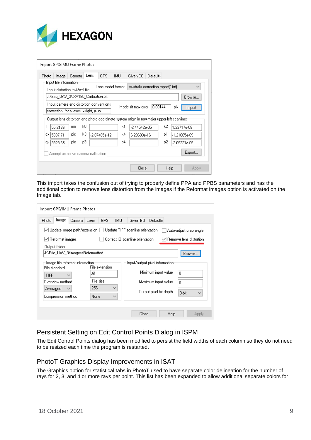

|       | Import GPS/IMU Frame Photos              |            |     |      |                |                   |                                                                                             |          |      |     |                |
|-------|------------------------------------------|------------|-----|------|----------------|-------------------|---------------------------------------------------------------------------------------------|----------|------|-----|----------------|
| Photo | Image                                    | Camera     |     | Lens | GPS.           | <b>IMU</b>        | Given EO                                                                                    | Defaults |      |     |                |
|       | Input file information                   |            |     |      |                |                   |                                                                                             |          |      |     |                |
|       | Input distortion text/xml file           |            |     |      |                | Lens model format | Australis correction report(*.txt)                                                          |          |      |     |                |
|       | J:\Eric_UAV_3\IXA180_Calibration.txt     |            |     |      |                |                   |                                                                                             |          |      |     | Browse         |
|       | Input camera and distortion conventions. |            |     |      |                |                   | Model fit max error                                                                         | 0.00144  |      | pix | Import         |
|       | correction: focal axes: x-right, y-up    |            |     |      |                |                   |                                                                                             |          |      |     |                |
|       |                                          |            |     |      |                |                   | Output lens distortion and photo coordinate system origin in row-major upper-left scanlines |          |      |     |                |
|       | 55.2136                                  | mm         | kO. |      |                | k1                | $-2.44542e-05$                                                                              |          | k2   |     | 1.33717e-08    |
| cx I  | 5097.71                                  | <b>DIX</b> | kЗ  |      | $-2.07405e-12$ | k4                | 6.20683e-16                                                                                 |          | p1   |     | $-1.21865e-09$ |
|       | 액 3923.65                                | pix        | pЗ  |      |                | p4                |                                                                                             |          | р2   |     | $-2.09321e-09$ |
|       | Accept as active camera calibration      |            |     |      |                |                   |                                                                                             |          |      |     | Export         |
|       |                                          |            |     |      |                |                   | Close                                                                                       |          | Help |     | Apply          |

This import takes the confusion out of trying to properly define PPA and PPBS parameters and has the additional option to remove lens distortion from the images if the Reformat images option is activated on the Image tab.

| Import GPS/IMU Frame Photos                      |                                                                  |                                 |                            |
|--------------------------------------------------|------------------------------------------------------------------|---------------------------------|----------------------------|
| Image<br>Photo<br>Camera                         | GPS<br>IMU.<br>Lens                                              | Given EO<br><b>Defaults</b>     |                            |
|                                                  | ◯ Update image path/extension   Update TIFF scanline orientation |                                 | │ │ Auto-adjust crab angle |
| √ Reformat images                                |                                                                  | Correct IO scanline orientation | Remove lens distortion     |
| Output folder                                    |                                                                  |                                 |                            |
| J:\Eric_UAV_3\images\Reformatted                 |                                                                  |                                 | Browse.                    |
| Image file reformat information<br>File standard | File extension                                                   | Input/output pixel information  |                            |
| <b>TIFF</b><br>$\checkmark$                      | .tif                                                             | Minimum input value             | n                          |
| Overview method                                  | Tile size.                                                       | Maximum input value             | n.                         |
| Averaged                                         | 256<br>$\checkmark$                                              | Output pixel bit depth          | 8-bit                      |
| Compression method                               | None<br>$\checkmark$                                             |                                 |                            |
|                                                  |                                                                  |                                 |                            |
|                                                  |                                                                  | Help<br>Close                   | Apply                      |

### <span id="page-8-0"></span>Persistent Setting on Edit Control Points Dialog in ISPM

The Edit Control Points dialog has been modified to persist the field widths of each column so they do not need to be resized each time the program is restarted.

### <span id="page-8-1"></span>PhotoT Graphics Display Improvements in ISAT

The Graphics option for statistical tabs in PhotoT used to have separate color delineation for the number of rays for 2, 3, and 4 or more rays per point. This list has been expanded to allow additional separate colors for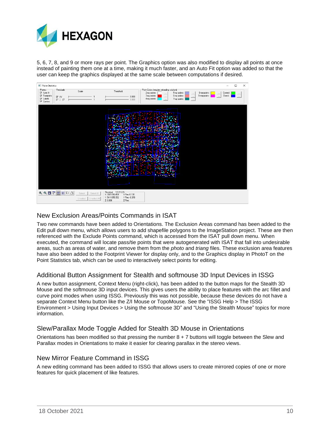

5, 6, 7, 8, and 9 or more rays per point. The Graphics option was also modified to display all points at once instead of painting them one at a time, making it much faster, and an Auto Fit option was added so that the user can keep the graphics displayed at the same scale between computations if desired.



### <span id="page-9-0"></span>New Exclusion Areas/Points Commands in ISAT

Two new commands have been added to Orientations. The Exclusion Areas command has been added to the Edit pull down menu, which allows users to add shapefile polygons to the ImageStation project. These are then referenced with the Exclude Points command, which is accessed from the ISAT pull down menu. When executed, the command will locate pass/tie points that were autogenerated with ISAT that fall into undesirable areas, such as areas of water, and remove them from the *photo* and *triang* files. These exclusion area features have also been added to the Footprint Viewer for display only, and to the Graphics display in PhotoT on the Point Statistics tab, which can be used to interactively select points for editing.

### <span id="page-9-1"></span>Additional Button Assignment for Stealth and softmouse 3D Input Devices in ISSG

A new button assignment, Context Menu (right-click), has been added to the button maps for the Stealth 3D Mouse and the softmouse 3D input devices. This gives users the ability to place features with the arc fillet and curve point modes when using ISSG. Previously this was not possible, because these devices do not have a separate Context Menu button like the Z/I Mouse or TopoMouse. See the "ISSG Help > The ISSG Environment > Using Input Devices > Using the softmouse 3D" and "Using the Stealth Mouse" topics for more information.

#### <span id="page-9-2"></span>Slew/Parallax Mode Toggle Added for Stealth 3D Mouse in Orientations

Orientations has been modified so that pressing the number  $8 + 7$  buttons will toggle between the Slew and Parallax modes in Orientations to make it easier for clearing parallax in the stereo views.

#### <span id="page-9-3"></span>New Mirror Feature Command in ISSG

A new editing command has been added to ISSG that allows users to create mirrored copies of one or more features for quick placement of like features.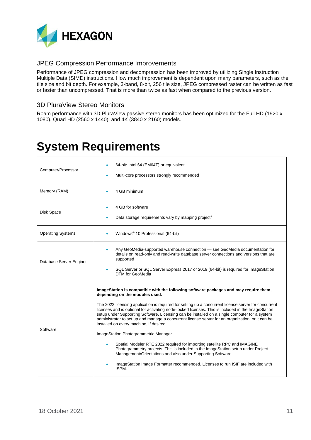

### <span id="page-10-0"></span>JPEG Compression Performance Improvements

Performance of JPEG compression and decompression has been improved by utilizing Single Instruction Multiple Data (SIMD) instructions. How much improvement is dependent upon many parameters, such as the tile size and bit depth. For example, 3-band, 8-bit, 256 tile size, JPEG compressed raster can be written as fast or faster than uncompressed. That is more than twice as fast when compared to the previous version.

### <span id="page-10-1"></span>3D PluraView Stereo Monitors

Roam performance with 3D PluraView passive stereo monitors has been optimized for the Full HD (1920 x 1080), Quad HD (2560 x 1440), and 4K (3840 x 2160) models.

## <span id="page-10-2"></span>**System Requirements**

| Computer/Processor       | 64-bit: Intel 64 (EM64T) or equivalent<br>Multi-core processors strongly recommended                                                                                                                                                                                                                                                                                                                                                                                                                                                                                                                                                                                                                                                                                                                                                                                                                                                                             |
|--------------------------|------------------------------------------------------------------------------------------------------------------------------------------------------------------------------------------------------------------------------------------------------------------------------------------------------------------------------------------------------------------------------------------------------------------------------------------------------------------------------------------------------------------------------------------------------------------------------------------------------------------------------------------------------------------------------------------------------------------------------------------------------------------------------------------------------------------------------------------------------------------------------------------------------------------------------------------------------------------|
| Memory (RAM)             | 4 GB minimum                                                                                                                                                                                                                                                                                                                                                                                                                                                                                                                                                                                                                                                                                                                                                                                                                                                                                                                                                     |
| Disk Space               | 4 GB for software<br>Data storage requirements vary by mapping project <sup>1</sup>                                                                                                                                                                                                                                                                                                                                                                                                                                                                                                                                                                                                                                                                                                                                                                                                                                                                              |
| <b>Operating Systems</b> | Windows <sup>®</sup> 10 Professional (64-bit)                                                                                                                                                                                                                                                                                                                                                                                                                                                                                                                                                                                                                                                                                                                                                                                                                                                                                                                    |
| Database Server Engines  | Any GeoMedia-supported warehouse connection — see GeoMedia documentation for<br>۰<br>details on read-only and read-write database server connections and versions that are<br>supported<br>SQL Server or SQL Server Express 2017 or 2019 (64-bit) is required for ImageStation<br>٠<br>DTM for GeoMedia                                                                                                                                                                                                                                                                                                                                                                                                                                                                                                                                                                                                                                                          |
| Software                 | ImageStation is compatible with the following software packages and may require them,<br>depending on the modules used.<br>The 2022 licensing application is required for setting up a concurrent license server for concurrent<br>licenses and is optional for activating node-locked licenses. This is included in the ImageStation<br>setup under Supporting Software. Licensing can be installed on a single computer for a system<br>administrator to set up and manage a concurrent license server for an organization, or it can be<br>installed on every machine, if desired.<br>ImageStation Photogrammetric Manager<br>Spatial Modeler RTE 2022 required for importing satellite RPC and IMAGINE<br>Photogrammetry projects. This is included in the ImageStation setup under Project<br>Management/Orientations and also under Supporting Software.<br>ImageStation Image Formatter recommended. Licenses to run ISIF are included with<br>۰<br>ISPM. |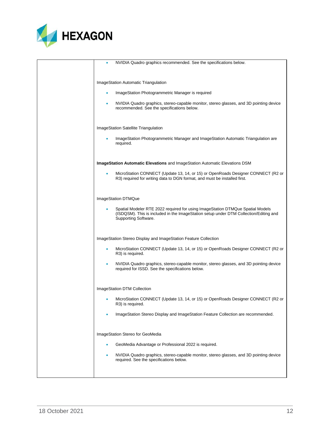

| NVIDIA Quadro graphics recommended. See the specifications below.                                                                                                                               |
|-------------------------------------------------------------------------------------------------------------------------------------------------------------------------------------------------|
| ImageStation Automatic Triangulation                                                                                                                                                            |
| ImageStation Photogrammetric Manager is required                                                                                                                                                |
| NVIDIA Quadro graphics, stereo-capable monitor, stereo glasses, and 3D pointing device<br>۰<br>recommended. See the specifications below.                                                       |
| ImageStation Satellite Triangulation                                                                                                                                                            |
| ImageStation Photogrammetric Manager and ImageStation Automatic Triangulation are<br>required.                                                                                                  |
| ImageStation Automatic Elevations and ImageStation Automatic Elevations DSM                                                                                                                     |
| MicroStation CONNECT (Update 13, 14, or 15) or OpenRoads Designer CONNECT (R2 or<br>R3) required for writing data to DGN format, and must be installed first.                                   |
| ImageStation DTMQue                                                                                                                                                                             |
| Spatial Modeler RTE 2022 required for using ImageStation DTMQue Spatial Models<br>(ISDQSM). This is included in the ImageStation setup under DTM Collection/Editing and<br>Supporting Software. |
| ImageStation Stereo Display and ImageStation Feature Collection                                                                                                                                 |
| MicroStation CONNECT (Update 13, 14, or 15) or OpenRoads Designer CONNECT (R2 or<br>R3) is required.                                                                                            |
| NVIDIA Quadro graphics, stereo-capable monitor, stereo glasses, and 3D pointing device<br>required for ISSD. See the specifications below.                                                      |
| ImageStation DTM Collection                                                                                                                                                                     |
| MicroStation CONNECT (Update 13, 14, or 15) or OpenRoads Designer CONNECT (R2 or<br>R3) is required.                                                                                            |
| ImageStation Stereo Display and ImageStation Feature Collection are recommended.                                                                                                                |
| ImageStation Stereo for GeoMedia                                                                                                                                                                |
| GeoMedia Advantage or Professional 2022 is required.                                                                                                                                            |
| NVIDIA Quadro graphics, stereo-capable monitor, stereo glasses, and 3D pointing device<br>required. See the specifications below.                                                               |
|                                                                                                                                                                                                 |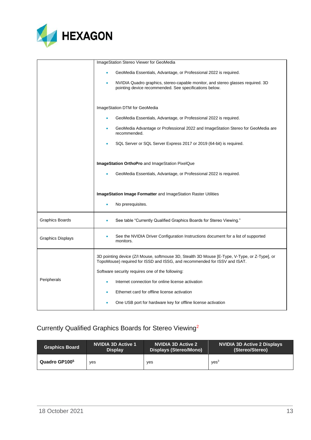

|                          | ImageStation Stereo Viewer for GeoMedia                                                                                                                                    |
|--------------------------|----------------------------------------------------------------------------------------------------------------------------------------------------------------------------|
|                          | GeoMedia Essentials, Advantage, or Professional 2022 is required.                                                                                                          |
|                          | NVIDIA Quadro graphics, stereo-capable monitor, and stereo glasses required. 3D<br>pointing device recommended. See specifications below.                                  |
|                          | ImageStation DTM for GeoMedia                                                                                                                                              |
|                          | GeoMedia Essentials, Advantage, or Professional 2022 is required.                                                                                                          |
|                          | GeoMedia Advantage or Professional 2022 and ImageStation Stereo for GeoMedia are<br>recommended.                                                                           |
|                          | SQL Server or SQL Server Express 2017 or 2019 (64-bit) is required.                                                                                                        |
|                          | ImageStation OrthoPro and ImageStation PixelQue<br>GeoMedia Essentials, Advantage, or Professional 2022 is required.                                                       |
|                          |                                                                                                                                                                            |
|                          |                                                                                                                                                                            |
|                          | <b>ImageStation Image Formatter</b> and ImageStation Raster Utilities                                                                                                      |
|                          | No prerequisites.                                                                                                                                                          |
| Graphics Boards          | See table "Currently Qualified Graphics Boards for Stereo Viewing."                                                                                                        |
| <b>Graphics Displays</b> | See the NVIDIA Driver Configuration Instructions document for a list of supported<br>monitors.                                                                             |
|                          | 3D pointing device (Z/I Mouse, softmouse 3D, Stealth 3D Mouse [E-Type, V-Type, or Z-Type], or<br>TopoMouse) required for ISSD and ISSG, and recommended for ISSV and ISAT. |
|                          | Software security requires one of the following:                                                                                                                           |
| Peripherals              | Internet connection for online license activation<br>٠                                                                                                                     |
|                          | Ethernet card for offline license activation                                                                                                                               |

### <span id="page-12-0"></span>Currently Qualified Graphics Boards for Stereo Viewing<sup>2</sup>

| <b>Graphics Board</b>     | <b>NVIDIA 3D Active 1</b> | <b>NVIDIA 3D Active 2</b> | <b>NVIDIA 3D Active 2 Displays</b> |
|---------------------------|---------------------------|---------------------------|------------------------------------|
|                           | <b>Display</b>            | Displays (Stereo/Mono)    | (Stereo/Stereo)                    |
| Quadro GP100 <sup>5</sup> | yes                       | yes                       | VES <sup>3</sup>                   |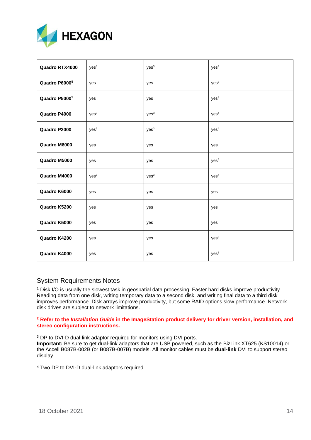

| Quadro RTX4000 | yes <sup>3</sup> | yes <sup>3</sup> | yes <sup>4</sup> |
|----------------|------------------|------------------|------------------|
| Quadro P60005  | yes              | yes              | yes <sup>3</sup> |
| Quadro P50005  | yes              | yes              | yes <sup>3</sup> |
| Quadro P4000   | yes <sup>3</sup> | yes <sup>3</sup> | yes <sup>4</sup> |
| Quadro P2000   | yes <sup>3</sup> | yes <sup>3</sup> | yes <sup>4</sup> |
| Quadro M6000   | yes              | yes              | yes              |
| Quadro M5000   | yes              | yes              | yes <sup>3</sup> |
| Quadro M4000   | yes <sup>3</sup> | yes <sup>3</sup> | yes <sup>4</sup> |
| Quadro K6000   | yes              | yes              | yes              |
| Quadro K5200   | yes              | yes              | yes              |
| Quadro K5000   | yes              | yes              | yes              |
| Quadro K4200   | yes              | yes              | yes <sup>3</sup> |
| Quadro K4000   | yes              | yes              | yes <sup>3</sup> |

### <span id="page-13-0"></span>System Requirements Notes

<sup>1</sup> Disk I/O is usually the slowest task in geospatial data processing. Faster hard disks improve productivity. Reading data from one disk, writing temporary data to a second disk, and writing final data to a third disk improves performance. Disk arrays improve productivity, but some RAID options slow performance. Network disk drives are subject to network limitations.

#### **<sup>2</sup> Refer to the** *Installation Guide* **in the ImageStation product delivery for driver version, installation, and stereo configuration instructions.**

<sup>3</sup> DP to DVI-D dual-link adaptor required for monitors using DVI ports.

**Important:** Be sure to get dual-link adaptors that are USB powered, such as the BizLink XT625 (KS10014) or the Accell B087B-002B (or B087B-007B) models. All monitor cables must be **dual-link** DVI to support stereo display.

<sup>4</sup> Two DP to DVI-D dual-link adaptors required.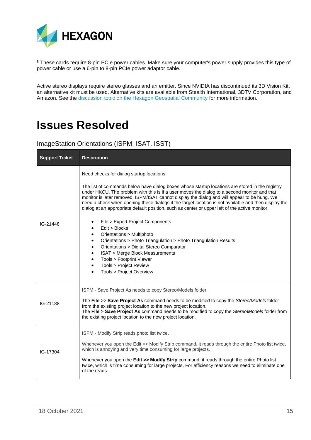

<sup>5</sup> These cards require 8-pin PCIe power cables. Make sure your computer's power supply provides this type of power cable or use a 6-pin to 8-pin PCIe power adaptor cable.

Active stereo displays require stereo glasses and an emitter. Since NVIDIA has discontinued its 3D Vision Kit, an alternative kit must be used. Alternative kits are available from Stealth International, 3DTV Corporation, and Amazon. See the [discussion topic on the Hexagon Geospatial Community](https://community.hexagongeospatial.com/t5/ImageStation-Discussions/NVIDIA-3D-Vision-Kit-Discontinued/td-p/37597) for more information.

## <span id="page-14-0"></span>**Issues Resolved**

<span id="page-14-1"></span>ImageStation Orientations (ISPM, ISAT, ISST)

| <b>Support Ticket</b> | <b>Description</b>                                                                                                                                                                                                                                                                                                                                                                                                                                                                                                                                                                                                                                                                                                                                                                                                                                                                                                                                                                 |
|-----------------------|------------------------------------------------------------------------------------------------------------------------------------------------------------------------------------------------------------------------------------------------------------------------------------------------------------------------------------------------------------------------------------------------------------------------------------------------------------------------------------------------------------------------------------------------------------------------------------------------------------------------------------------------------------------------------------------------------------------------------------------------------------------------------------------------------------------------------------------------------------------------------------------------------------------------------------------------------------------------------------|
| IG-21448              | Need checks for dialog startup locations.<br>The list of commands below have dialog boxes whose startup locations are stored in the registry<br>under HKCU. The problem with this is if a user moves the dialog to a second monitor and that<br>monitor is later removed, ISPM/ISAT cannot display the dialog and will appear to be hung. We<br>need a check when opening these dialogs if the target location is not available and then display the<br>dialog at an appropriate default position, such as center or upper left of the active monitor.<br>File > Export Project Components<br>$\bullet$<br>Edit > Blocks<br>Orientations > Multiphoto<br>$\bullet$<br>Orientations > Photo Triangulation > Photo Triangulation Results<br>$\bullet$<br>Orientations > Digital Stereo Comparator<br>$\bullet$<br><b>ISAT &gt; Merge Block Measurements</b><br>$\bullet$<br>Tools > Footprint Viewer<br>$\bullet$<br>Tools > Project Review<br>$\bullet$<br>Tools > Project Overview |
| IG-21188              | ISPM - Save Project As needs to copy Stereo\Models folder.<br>The File >> Save Project As command needs to be modified to copy the Stereo/Models folder<br>from the existing project location to the new project location.<br>The File > Save Project As command needs to be modified to copy the StereoWodels folder from<br>the existing project location to the new project location.                                                                                                                                                                                                                                                                                                                                                                                                                                                                                                                                                                                           |
| IG-17304              | ISPM - Modify Strip reads photo list twice.<br>Whenever you open the Edit >> Modify Strip command, it reads through the entire Photo list twice,<br>which is annoying and very time consuming for large projects.<br>Whenever you open the Edit >> Modify Strip command, it reads through the entire Photo list<br>twice, which is time consuming for large projects. For efficiency reasons we need to eliminate one<br>of the reads.                                                                                                                                                                                                                                                                                                                                                                                                                                                                                                                                             |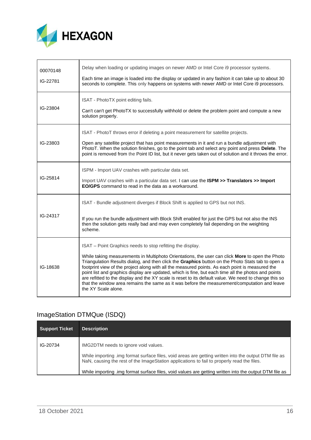

| 00070148<br>IG-22781 | Delay when loading or updating images on newer AMD or Intel Core i9 processor systems.<br>Each time an image is loaded into the display or updated in any fashion it can take up to about 30<br>seconds to complete. This only happens on systems with newer AMD or Intel Core i9 processors.                                                                                                                                                                                                                                                                                                                                                                                                                |
|----------------------|--------------------------------------------------------------------------------------------------------------------------------------------------------------------------------------------------------------------------------------------------------------------------------------------------------------------------------------------------------------------------------------------------------------------------------------------------------------------------------------------------------------------------------------------------------------------------------------------------------------------------------------------------------------------------------------------------------------|
| IG-23804             | ISAT - PhotoTX point editing fails.<br>Can't can't get PhotoTX to successfully withhold or delete the problem point and compute a new<br>solution properly.                                                                                                                                                                                                                                                                                                                                                                                                                                                                                                                                                  |
| IG-23803             | ISAT - PhotoT throws error if deleting a point measurement for satellite projects.<br>Open any satellite project that has point measurements in it and run a bundle adjustment with<br>PhotoT. When the solution finishes, go to the point tab and select any point and press Delete. The<br>point is removed from the Point ID list, but it never gets taken out of solution and it throws the error.                                                                                                                                                                                                                                                                                                       |
| IG-25814             | ISPM - Import UAV crashes with particular data set.<br>Import UAV crashes with a particular data set. I can use the ISPM >> Translators >> Import<br><b>EO/GPS</b> command to read in the data as a workaround.                                                                                                                                                                                                                                                                                                                                                                                                                                                                                              |
| IG-24317             | ISAT - Bundle adjustment diverges if Block Shift is applied to GPS but not INS.<br>If you run the bundle adjustment with Block Shift enabled for just the GPS but not also the INS<br>then the solution gets really bad and may even completely fail depending on the weighting<br>scheme.                                                                                                                                                                                                                                                                                                                                                                                                                   |
| IG-18638             | ISAT - Point Graphics needs to stop refitting the display.<br>While taking measurements in Multiphoto Orientations, the user can click More to open the Photo<br>Triangulation Results dialog, and then click the Graphics button on the Photo Stats tab to open a<br>footprint view of the project along with all the measured points. As each point is measured the<br>point list and graphics display are updated, which is fine, but each time all the photos and points<br>are refitted to the display and the XY scale is reset to its default value. We need to change this so<br>that the window area remains the same as it was before the measurement/computation and leave<br>the XY Scale alone. |

### <span id="page-15-0"></span>ImageStation DTMQue (ISDQ)

| Support Ticket | <b>Description</b>                                                                                                                                                                                  |
|----------------|-----------------------------------------------------------------------------------------------------------------------------------------------------------------------------------------------------|
| IG-20734       | IMG2DTM needs to ignore void values.                                                                                                                                                                |
|                | While importing .img format surface files, void areas are getting written into the output DTM file as<br>NaN, causing the rest of the ImageStation applications to fail to properly read the files. |
|                | While importing .img format surface files, void values are getting written into the output DTM file as                                                                                              |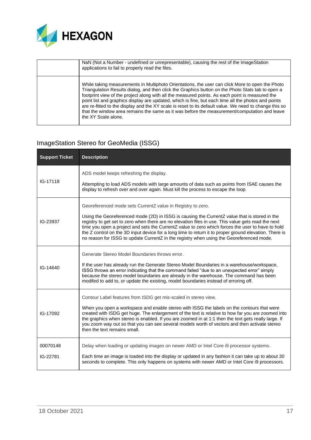

| NaN (Not a Number - undefined or unrepresentable), causing the rest of the ImageStation<br>applications to fail to properly read the files.                                                                                                                                                                                                                                                                                                                                                                                                                                                                                                     |
|-------------------------------------------------------------------------------------------------------------------------------------------------------------------------------------------------------------------------------------------------------------------------------------------------------------------------------------------------------------------------------------------------------------------------------------------------------------------------------------------------------------------------------------------------------------------------------------------------------------------------------------------------|
| While taking measurements in Multiphoto Orientations, the user can click More to open the Photo<br>Triangulation Results dialog, and then click the Graphics button on the Photo Stats tab to open a<br>footprint view of the project along with all the measured points. As each point is measured the<br>point list and graphics display are updated, which is fine, but each time all the photos and points<br>are re-fitted to the display and the XY scale is reset to its default value. We need to change this so<br>that the window area remains the same as it was before the measurement/computation and leave<br>the XY Scale alone. |

### <span id="page-16-0"></span>ImageStation Stereo for GeoMedia (ISSG)

| <b>Support Ticket</b> | <b>Description</b>                                                                                                                                                                                                                                                                                                                                                                                                                                                                                                                                                             |
|-----------------------|--------------------------------------------------------------------------------------------------------------------------------------------------------------------------------------------------------------------------------------------------------------------------------------------------------------------------------------------------------------------------------------------------------------------------------------------------------------------------------------------------------------------------------------------------------------------------------|
| IG-17118              | ADS model keeps refreshing the display.<br>Attempting to load ADS models with large amounts of data such as points from ISAE causes the<br>display to refresh over and over again. Must kill the process to escape the loop.                                                                                                                                                                                                                                                                                                                                                   |
| IG-23937              | Georeferenced mode sets CurrentZ value in Registry to zero.<br>Using the Georeferenced mode (2D) in ISSG is causing the CurrentZ value that is stored in the<br>registry to get set to zero when there are no elevation files in use. This value gets read the next<br>time you open a project and sets the CurrentZ value to zero which forces the user to have to hold<br>the Z control on the 3D input device for a long time to return it to proper ground elevation. There is<br>no reason for ISSG to update CurrentZ in the registry when using the Georeferenced mode. |
| IG-14640              | Generate Stereo Model Boundaries throws error.<br>If the user has already run the Generate Stereo Model Boundaries in a warehouse/workspace,<br>ISSG throws an error indicating that the command failed "due to an unexpected error" simply<br>because the stereo model boundaries are already in the warehouse. The command has been<br>modifed to add to, or update the existing, model boundaries instead of erroring off.                                                                                                                                                  |
| IG-17092              | Contour Label features from ISDG get mis-scaled in stereo view.<br>When you open a workspace and enable stereo with ISSG the labels on the contours that were<br>created with ISDG get huge. The enlargement of the text is relative to how far you are zoomed into<br>the graphics when stereo is enabled. If you are zoomed in at 1:1 then the text gets really large. If<br>you zoom way out so that you can see several models worth of vectors and then activate stereo<br>then the text remains small.                                                                   |
| 00070148<br>IG-22781  | Delay when loading or updating images on newer AMD or Intel Core i9 processor systems.<br>Each time an image is loaded into the display or updated in any fashion it can take up to about 30<br>seconds to complete. This only happens on systems with newer AMD or Intel Core i9 processors.                                                                                                                                                                                                                                                                                  |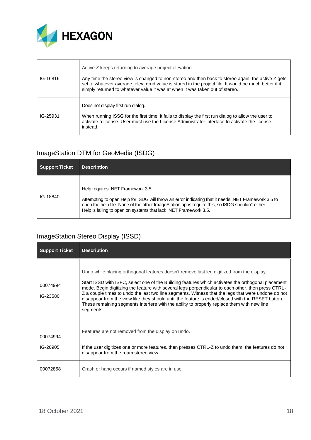

| IG-16816 | Active Z keeps returning to average project elevation.<br>Any time the stereo view is changed to non-stereo and then back to stereo again, the active Z gets                                                     |
|----------|------------------------------------------------------------------------------------------------------------------------------------------------------------------------------------------------------------------|
|          | set to whatever average_elev_grnd value is stored in the project file. It would be much better if it<br>simply returned to whatever value it was at when it was taken out of stereo.                             |
| IG-25931 | Does not display first run dialog.                                                                                                                                                                               |
|          | When running ISSG for the first time, it fails to display the first run dialog to allow the user to<br>activate a license. User must use the License Administrator interface to activate the license<br>instead. |

### <span id="page-17-0"></span>ImageStation DTM for GeoMedia (ISDG)

| Support Ticket | <b>Description</b>                                                                                                                                                                                                                                                                                             |
|----------------|----------------------------------------------------------------------------------------------------------------------------------------------------------------------------------------------------------------------------------------------------------------------------------------------------------------|
| IG-18840       | Help requires .NET Framework 3.5<br>Attempting to open Help for ISDG will throw an error indicating that it needs .NET Framework 3.5 to<br>open the help file. None of the other ImageStation apps require this, so ISDG shouldn't either.<br>Help is failing to open on systems that lack .NET Framework 3.5. |

### <span id="page-17-1"></span>ImageStation Stereo Display (ISSD)

| <b>Support Ticket</b> | <b>Description</b>                                                                                                                                                                                                                                                                                                                                                                                                                                                                                                                                                                                                           |
|-----------------------|------------------------------------------------------------------------------------------------------------------------------------------------------------------------------------------------------------------------------------------------------------------------------------------------------------------------------------------------------------------------------------------------------------------------------------------------------------------------------------------------------------------------------------------------------------------------------------------------------------------------------|
| 00074994<br>IG-23580  | Undo while placing orthogonal features doesn't remove last leg digitized from the display.<br>Start ISSD with ISFC, select one of the Building features which activates the orthogonal placement<br>mode. Begin digitizing the feature with several legs perpendicular to each other, then press CTRL-<br>Z a couple times to undo the last two line segments. Witness that the legs that were undone do not<br>disappear from the view like they should until the feature is ended/closed with the RESET button.<br>These remaining segments interfere with the ability to properly replace them with new line<br>segments. |
| 00074994<br>IG-20905  | Features are not removed from the display on undo.<br>If the user digitizes one or more features, then presses CTRL-Z to undo them, the features do not                                                                                                                                                                                                                                                                                                                                                                                                                                                                      |
|                       | disappear from the roam stereo view.                                                                                                                                                                                                                                                                                                                                                                                                                                                                                                                                                                                         |
| 00072858              | Crash or hang occurs if named styles are in use.                                                                                                                                                                                                                                                                                                                                                                                                                                                                                                                                                                             |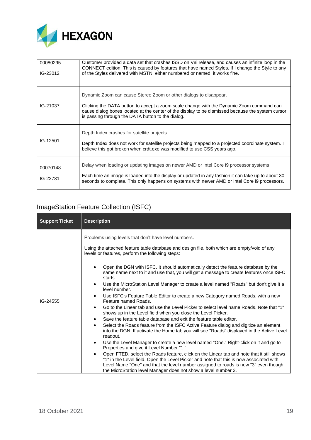

| 00080295<br>IG-23012 | Customer provided a data set that crashes ISSD on V8i release, and causes an infinite loop in the<br>CONNECT edition. This is caused by features that have named Styles. If I change the Style to any<br>of the Styles delivered with MSTN, either numbered or named, it works fine.                                    |
|----------------------|-------------------------------------------------------------------------------------------------------------------------------------------------------------------------------------------------------------------------------------------------------------------------------------------------------------------------|
| IG-21037             | Dynamic Zoom can cause Stereo Zoom or other dialogs to disappear.<br>Clicking the DATA button to accept a zoom scale change with the Dynamic Zoom command can<br>cause dialog boxes located at the center of the display to be dismissed because the system cursor<br>is passing through the DATA button to the dialog. |
| IG-12501             | Depth Index crashes for satellite projects.<br>Depth Index does not work for satellite projects being mapped to a projected coordinate system. I<br>believe this got broken when crdt.exe was modified to use CSS years ago.                                                                                            |
| 00070148<br>IG-22781 | Delay when loading or updating images on newer AMD or Intel Core ig processor systems.<br>Each time an image is loaded into the display or updated in any fashion it can take up to about 30<br>seconds to complete. This only happens on systems with newer AMD or Intel Core i9 processors.                           |

## <span id="page-18-0"></span>ImageStation Feature Collection (ISFC)

| <b>Support Ticket</b> | <b>Description</b>                                                                                                                                                                                                                                                                                                                                                                                                                                                                                                                                                                                                                                                                                                                                                                                                                                                                                                                                                                                                                                                                                                                                                                                                                                                                                                                                                                                                                                                                                                                                                                                                                           |
|-----------------------|----------------------------------------------------------------------------------------------------------------------------------------------------------------------------------------------------------------------------------------------------------------------------------------------------------------------------------------------------------------------------------------------------------------------------------------------------------------------------------------------------------------------------------------------------------------------------------------------------------------------------------------------------------------------------------------------------------------------------------------------------------------------------------------------------------------------------------------------------------------------------------------------------------------------------------------------------------------------------------------------------------------------------------------------------------------------------------------------------------------------------------------------------------------------------------------------------------------------------------------------------------------------------------------------------------------------------------------------------------------------------------------------------------------------------------------------------------------------------------------------------------------------------------------------------------------------------------------------------------------------------------------------|
| IG-24555              | Problems using levels that don't have level numbers.<br>Using the attached feature table database and design file, both which are empty/void of any<br>levels or features, perform the following steps:<br>Open the DGN with ISFC. It should automatically detect the feature database by the<br>same name next to it and use that, you will get a message to create features once ISFC<br>starts.<br>Use the MicroStation Level Manager to create a level named "Roads" but don't give it a<br>$\bullet$<br>level number.<br>Use ISFC's Feature Table Editor to create a new Category named Roads, with a new<br>$\bullet$<br>Feature named Roads.<br>"Go to the Linear tab and use the Level Picker to select level name Roads. Note that "1"<br>$\bullet$<br>shows up in the Level field when you close the Level Picker.<br>Save the feature table database and exit the feature table editor.<br>$\bullet$<br>Select the Roads feature from the ISFC Active Feature dialog and digitize an element<br>$\bullet$<br>into the DGN. If activate the Home tab you will see "Roads" displayed in the Active Level<br>readout.<br>Use the Level Manager to create a new level named "One." Right-click on it and go to<br>$\bullet$<br>Properties and give it Level Number "1."<br>Open FTED, select the Roads feature, click on the Linear tab and note that it still shows<br>$\bullet$<br>"1" in the Level field. Open the Level Picker and note that this is now associated with<br>Level Name "One" and that the level number assigned to roads is now "3" even though<br>the MicroStation level Manager does not show a level number 3. |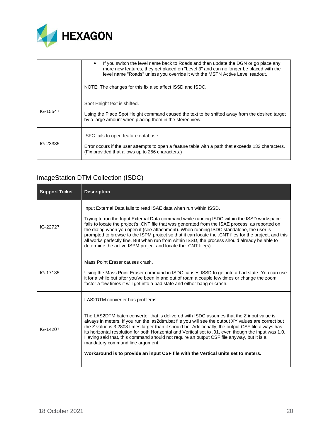

|          | If you switch the level name back to Roads and then update the DGN or go place any<br>$\bullet$<br>more new features, they get placed on "Level 3" and can no longer be placed with the<br>level name "Roads" unless you override it with the MSTN Active Level readout.<br>NOTE: The changes for this fix also affect ISSD and ISDC. |
|----------|---------------------------------------------------------------------------------------------------------------------------------------------------------------------------------------------------------------------------------------------------------------------------------------------------------------------------------------|
| IG-15547 | Spot Height text is shifted.<br>Using the Place Spot Height command caused the text to be shifted away from the desired target<br>by a large amount when placing them in the stereo view.                                                                                                                                             |
| IG-23385 | ISFC fails to open feature database.<br>Error occurs if the user attempts to open a feature table with a path that exceeds 132 characters.<br>(Fix provided that allows up to 256 characters.)                                                                                                                                        |

### <span id="page-19-0"></span>ImageStation DTM Collection (ISDC)

| <b>Support Ticket</b> | <b>Description</b>                                                                                                                                                                                                                                                                                                                                                                                                                                                                                                                                                     |
|-----------------------|------------------------------------------------------------------------------------------------------------------------------------------------------------------------------------------------------------------------------------------------------------------------------------------------------------------------------------------------------------------------------------------------------------------------------------------------------------------------------------------------------------------------------------------------------------------------|
| IG-22727              | Input External Data fails to read ISAE data when run within ISSD.                                                                                                                                                                                                                                                                                                                                                                                                                                                                                                      |
|                       | Trying to run the Input External Data command while running ISDC within the ISSD workspace<br>fails to locate the project's .CNT file that was generated from the ISAE process, as reported on<br>the dialog when you open it (see attachment). When running ISDC standalone, the user is<br>prompted to browse to the ISPM project so that it can locate the .CNT files for the project, and this<br>all works perfectly fine. But when run from within ISSD, the process should already be able to<br>determine the active ISPM project and locate the .CNT file(s). |
|                       | Mass Point Eraser causes crash.                                                                                                                                                                                                                                                                                                                                                                                                                                                                                                                                        |
| IG-17135              | Using the Mass Point Eraser command in ISDC causes ISSD to get into a bad state. You can use<br>it for a while but after you've been in and out of roam a couple few times or change the zoom<br>factor a few times it will get into a bad state and either hang or crash.                                                                                                                                                                                                                                                                                             |
| IG-14207              | LAS2DTM converter has problems.                                                                                                                                                                                                                                                                                                                                                                                                                                                                                                                                        |
|                       | The LAS2DTM batch converter that is delivered with ISDC assumes that the Z input value is<br>always in meters. If you run the las2dtm.bat file you will see the output XY values are correct but<br>the Z value is 3.2808 times larger than it should be. Additionally, the output CSF file always has<br>its horizontal resolution for both Horizontal and Vertical set to .01, even though the input was 1.0.<br>Having said that, this command should not require an output CSF file anyway, but it is a<br>mandatory command line argument.                        |
|                       | Workaround is to provide an input CSF file with the Vertical units set to meters.                                                                                                                                                                                                                                                                                                                                                                                                                                                                                      |
|                       |                                                                                                                                                                                                                                                                                                                                                                                                                                                                                                                                                                        |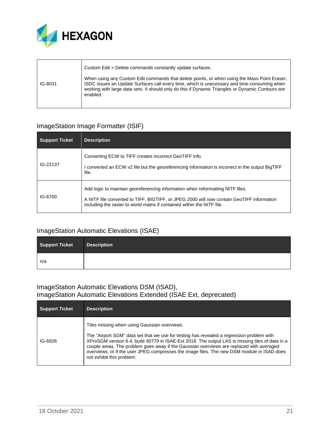

|         | Custom Edit > Delete commands constantly update surfaces.                                                                                                                                                                                                                                                    |
|---------|--------------------------------------------------------------------------------------------------------------------------------------------------------------------------------------------------------------------------------------------------------------------------------------------------------------|
| IG-8031 | When using any Custom Edit commands that delete points, or when using the Mass Point Eraser,<br>ISDC issues an Update Surfaces call every time, which is unecessary and time-consuming when<br>working with large data sets. It should only do this if Dynamic Triangles or Dynamic Contours are<br>enabled. |

### <span id="page-20-0"></span>ImageStation Image Formatter (ISIF)

| <b>Support Ticket</b> | <b>Description</b>                                                                                                                                                                                                                                     |
|-----------------------|--------------------------------------------------------------------------------------------------------------------------------------------------------------------------------------------------------------------------------------------------------|
| IG-22137              | Converting ECW to TIFF creates incorrect GeoTIFF info.<br>I converted an ECW v2 file but the georeferencing information is incorrect in the output BigTIFF<br>file.                                                                                    |
| IG-6700               | Add logic to maintain georeferencing information when reformatting NITF files.<br>A NITF file converted to TIFF, BIGTIFF, or JPEG 2000 will now contain GeoTIFF information<br>including the raster to world matrix if contained within the NITF file. |

### <span id="page-20-1"></span>ImageStation Automatic Elevations (ISAE)

| <b>Support Ticket</b> | <b>Description</b> |
|-----------------------|--------------------|
| n/a                   |                    |

### <span id="page-20-3"></span><span id="page-20-2"></span>ImageStation Automatic Elevations DSM (ISAD), ImageStation Automatic Elevations Extended (ISAE Ext, deprecated)

| <b>Support Ticket</b> | <b>Description</b>                                                                                                                                                                                                                                                                                                                                                                                                                                                  |
|-----------------------|---------------------------------------------------------------------------------------------------------------------------------------------------------------------------------------------------------------------------------------------------------------------------------------------------------------------------------------------------------------------------------------------------------------------------------------------------------------------|
| IG-6926               | Tiles missing when using Gaussian overviews.<br>The "Airport SGM" data set that we use for testing has revealed a regression problem with<br>XProSGM version 6.4, build 40779 in ISAE-Ext 2018. The output LAS is missing tiles of data in a<br>couple areas. The problem goes away if the Gaussian overviews are replaced with averaged<br>overviews, or if the user JPEG compresses the image files. The new DSM module in ISAD does<br>not exhibit this problem. |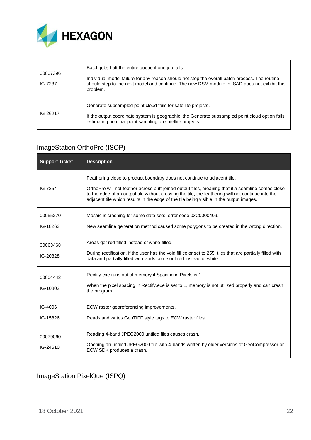

| 00007396<br>IG-7237 | Batch jobs halt the entire queue if one job fails.<br>Individual model failure for any reason should not stop the overall batch process. The routine<br>should step to the next model and continue. The new DSM module in ISAD does not exhibit this<br>problem. |
|---------------------|------------------------------------------------------------------------------------------------------------------------------------------------------------------------------------------------------------------------------------------------------------------|
| IG-26217            | Generate subsampled point cloud fails for satellite projects.<br>If the output coordinate system is geographic, the Generate subsampled point cloud option fails<br>estimating nominal point sampling on satellite projects.                                     |

### <span id="page-21-0"></span>ImageStation OrthoPro (ISOP)

| <b>Support Ticket</b> | <b>Description</b>                                                                                                                                                                                                                                                                                                                                                             |
|-----------------------|--------------------------------------------------------------------------------------------------------------------------------------------------------------------------------------------------------------------------------------------------------------------------------------------------------------------------------------------------------------------------------|
| IG-7254               | Feathering close to product boundary does not continue to adjacent tile.<br>OrthoPro will not feather across butt-joined output tiles, meaning that if a seamline comes close<br>to the edge of an output tile without crossing the tile, the feathering will not continue into the<br>adjacent tile which results in the edge of the tile being visible in the output images. |
| 00055270<br>IG-18263  | Mosaic is crashing for some data sets, error code 0xC0000409.<br>New seamline generation method caused some polygons to be created in the wrong direction.                                                                                                                                                                                                                     |
| 00063468<br>IG-20328  | Areas get red-filled instead of white-filled.<br>During rectification, if the user has the void fill color set to 255, tiles that are partially filled with<br>data and partially filled with voids come out red instead of white.                                                                                                                                             |
| 00004442<br>IG-10802  | Rectify exe runs out of memory if Spacing in Pixels is 1.<br>When the pixel spacing in Rectify exe is set to 1, memory is not utilized properly and can crash<br>the program.                                                                                                                                                                                                  |
| IG-4006<br>IG-15826   | ECW raster georeferencing improvements.<br>Reads and writes GeoTIFF style tags to ECW raster files.                                                                                                                                                                                                                                                                            |
| 00079060<br>IG-24510  | Reading 4-band JPEG2000 untiled files causes crash.<br>Opening an untiled JPEG2000 file with 4-bands written by older versions of GeoCompressor or<br>ECW SDK produces a crash.                                                                                                                                                                                                |

### <span id="page-21-1"></span>ImageStation PixelQue (ISPQ)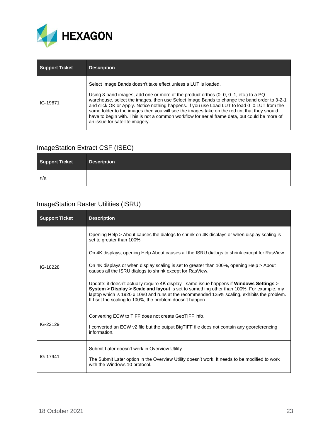

| <b>Support Ticket</b> | <b>Description</b>                                                                                                                                                                                                                                                                                                                                                                                                                                                                                                                                                                          |
|-----------------------|---------------------------------------------------------------------------------------------------------------------------------------------------------------------------------------------------------------------------------------------------------------------------------------------------------------------------------------------------------------------------------------------------------------------------------------------------------------------------------------------------------------------------------------------------------------------------------------------|
| IG-19671              | Select Image Bands doesn't take effect unless a LUT is loaded.<br>Using 3-band images, add one or more of the product orthos $(0, 0, 0, 1,$ etc.) to a PQ<br>warehouse, select the images, then use Select Image Bands to change the band order to 3-2-1<br>and click OK or Apply. Notice nothing happens. If you use Load LUT to load 0_0.LUT from the<br>same folder to the images then you will see the images take on the red tint that they should<br>have to begin with. This is not a common workflow for aerial frame data, but could be more of<br>an issue for satellite imagery. |

### <span id="page-22-0"></span>ImageStation Extract CSF (ISEC)

| <b>Support Ticket</b> | <b>Description</b> |
|-----------------------|--------------------|
| n/a                   |                    |

### <span id="page-22-1"></span>ImageStation Raster Utilities (ISRU)

| <b>Support Ticket</b> | <b>Description</b>                                                                                                                                                                                                                                                                                                                                |
|-----------------------|---------------------------------------------------------------------------------------------------------------------------------------------------------------------------------------------------------------------------------------------------------------------------------------------------------------------------------------------------|
|                       | Opening Help > About causes the dialogs to shrink on 4K displays or when display scaling is<br>set to greater than 100%.                                                                                                                                                                                                                          |
|                       | On 4K displays, opening Help About causes all the ISRU dialogs to shrink except for RasView.                                                                                                                                                                                                                                                      |
| IG-18228              | On 4K displays or when display scaling is set to greater than 100%, opening Help > About<br>causes all the ISRU dialogs to shrink except for RasView.                                                                                                                                                                                             |
|                       | Update: it doesn't actually require 4K display - same issue happens if Windows Settings ><br>System > Display > Scale and layout is set to something other than 100%. For example, my<br>laptop which is 1920 x 1080 and runs at the recommended 125% scaling, exhibits the problem.<br>If I set the scaling to 100%, the problem doesn't happen. |
| IG-22129              | Converting ECW to TIFF does not create GeoTIFF info.                                                                                                                                                                                                                                                                                              |
|                       | I converted an ECW v2 file but the output BigTIFF file does not contain any georeferencing<br>information.                                                                                                                                                                                                                                        |
| IG-17941              | Submit Later doesn't work in Overview Utility.<br>The Submit Later option in the Overview Utility doesn't work. It needs to be modified to work                                                                                                                                                                                                   |
|                       | with the Windows 10 protocol.                                                                                                                                                                                                                                                                                                                     |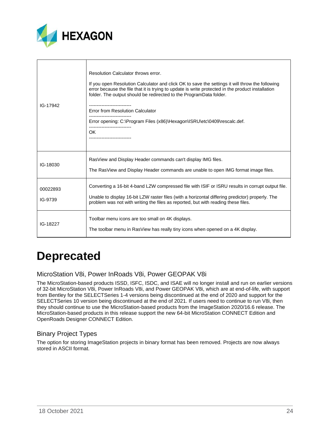

| IG-17942            | Resolution Calculator throws error.<br>If you open Resolution Calculator and click OK to save the settings it will throw the following<br>error because the file that it is trying to update is write protected in the product installation<br>folder. The output should be redirected to the ProgramData folder.<br><br>Error from Resolution Calculator<br>Error opening: C:\Program Files (x86)\Hexagon\ISRU\etc\0409\rescalc.def.<br>OK. |
|---------------------|----------------------------------------------------------------------------------------------------------------------------------------------------------------------------------------------------------------------------------------------------------------------------------------------------------------------------------------------------------------------------------------------------------------------------------------------|
| IG-18030            | RasView and Display Header commands can't display IMG files.<br>The RasView and Display Header commands are unable to open IMG format image files.                                                                                                                                                                                                                                                                                           |
| 00022893<br>IG-9739 | Converting a 16-bit 4-band LZW compressed file with ISIF or ISRU results in corrupt output file.<br>Unable to display 16-bit LZW raster files (with a horizontal differing predictor) properly. The<br>problem was not with writing the files as reported, but with reading these files.                                                                                                                                                     |
| IG-18227            | Toolbar menu icons are too small on 4K displays.<br>The toolbar menu in RasView has really tiny icons when opened on a 4K display.                                                                                                                                                                                                                                                                                                           |

## <span id="page-23-0"></span>**Deprecated**

### <span id="page-23-1"></span>MicroStation V8i, Power InRoads V8i, Power GEOPAK V8i

The MicroStation-based products ISSD, ISFC, ISDC, and ISAE will no longer install and run on earlier versions of 32-bit MicroStation V8i, Power InRoads V8i, and Power GEOPAK V8i, which are at end-of-life, with support from Bentley for the SELECTSeries 1-4 versions being discontinued at the end of 2020 and support for the SELECTSeries 10 version being discontinued at the end of 2021. If users need to continue to run V8i, then they should continue to use the MicroStation-based products from the ImageStation 2020/16.6 release. The MicroStation-based products in this release support the new 64-bit MicroStation CONNECT Edition and OpenRoads Designer CONNECT Edition.

### <span id="page-23-2"></span>Binary Project Types

The option for storing ImageStation projects in binary format has been removed. Projects are now always stored in ASCII format.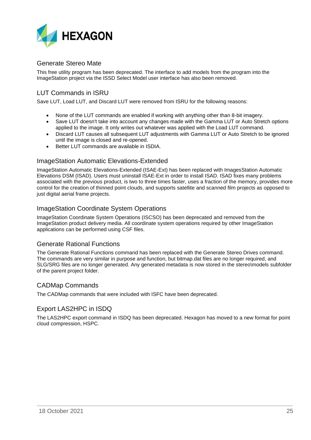

### <span id="page-24-0"></span>Generate Stereo Mate

This free utility program has been deprecated. The interface to add models from the program into the ImageStation project via the ISSD Select Model user interface has also been removed.

### <span id="page-24-1"></span>LUT Commands in ISRU

Save LUT, Load LUT, and Discard LUT were removed from ISRU for the following reasons:

- None of the LUT commands are enabled if working with anything other than 8-bit imagery.
- Save LUT doesn't take into account any changes made with the Gamma LUT or Auto Stretch options applied to the image. It only writes out whatever was applied with the Load LUT command.
- Discard LUT causes all subsequent LUT adjustments with Gamma LUT or Auto Stretch to be ignored until the image is closed and re-opened.
- Better LUT commands are available in ISDIA.

#### <span id="page-24-2"></span>ImageStation Automatic Elevations-Extended

ImageStation Automatic Elevations-Extended (ISAE-Ext) has been replaced with ImagesStation Automatic Elevations DSM (ISAD). Users must uninstall ISAE-Ext in order to install ISAD. ISAD fixes many problems associated with the previous product, is two to three times faster, uses a fraction of the memory, provides more control for the creation of thinned point clouds, and supports satellite and scanned film projects as opposed to just digital aerial frame projects.

### <span id="page-24-3"></span>ImageStation Coordinate System Operations

ImageStation Coordinate System Operations (ISCSO) has been deprecated and removed from the ImageStation product delivery media. All coordinate system operations required by other ImageStation applications can be performed using CSF files.

### <span id="page-24-4"></span>Generate Rational Functions

The Generate Rational Functions command has been replaced with the Generate Stereo Drives command. The commands are very similar in purpose and function, but bitmap.dat files are no longer required, and SLG/SRG files are no longer generated. Any generated metadata is now stored in the stereo\models subfolder of the parent project folder.

#### <span id="page-24-5"></span>CADMap Commands

The CADMap commands that were included with ISFC have been deprecated.

### <span id="page-24-6"></span>Export LAS2HPC in ISDQ

The LAS2HPC export command in ISDQ has been deprecated. Hexagon has moved to a new format for point cloud compression, HSPC.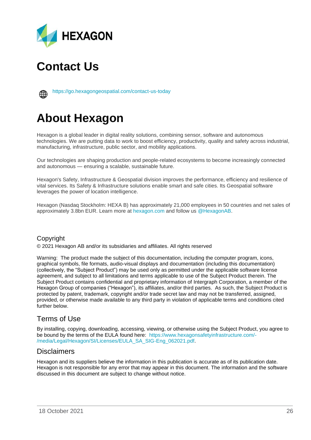

## <span id="page-25-0"></span>**Contact Us**



<https://go.hexagongeospatial.com/contact-us-today>

## <span id="page-25-1"></span>**About Hexagon**

Hexagon is a global leader in digital reality solutions, combining sensor, software and autonomous technologies. We are putting data to work to boost efficiency, productivity, quality and safety across industrial, manufacturing, infrastructure, public sector, and mobility applications.

Our technologies are shaping production and people-related ecosystems to become increasingly connected and autonomous — ensuring a scalable, sustainable future.

Hexagon's Safety, Infrastructure & Geospatial division improves the performance, efficiency and resilience of vital services. Its Safety & Infrastructure solutions enable smart and safe cities. Its Geospatial software leverages the power of location intelligence.

Hexagon (Nasdaq Stockholm: HEXA B) has approximately 21,000 employees in 50 countries and net sales of approximately 3.8bn EUR. Learn more at [hexagon.com](https://hexagon.com/) and follow us [@HexagonAB.](https://twitter.com/hexagonab)

### Copyright

© 2021 Hexagon AB and/or its subsidiaries and affiliates. All rights reserved

Warning: The product made the subject of this documentation, including the computer program, icons, graphical symbols, file formats, audio-visual displays and documentation (including this documentation) (collectively, the "Subject Product") may be used only as permitted under the applicable software license agreement, and subject to all limitations and terms applicable to use of the Subject Product therein. The Subject Product contains confidential and proprietary information of Intergraph Corporation, a member of the Hexagon Group of companies ("Hexagon"), its affiliates, and/or third parties. As such, the Subject Product is protected by patent, trademark, copyright and/or trade secret law and may not be transferred, assigned, provided, or otherwise made available to any third party in violation of applicable terms and conditions cited further below.

### Terms of Use

By installing, copying, downloading, accessing, viewing, or otherwise using the Subject Product, you agree to be bound by the terms of the EULA found here: [https://www.hexagonsafetyinfrastructure.com/-](https://www.hexagonsafetyinfrastructure.com/-/media/Legal/Hexagon/SI/Licenses/EULA_SA_SIG-Eng_062021.pdf) [/media/Legal/Hexagon/SI/Licenses/EULA\\_SA\\_SIG-Eng\\_062021.pdf.](https://www.hexagonsafetyinfrastructure.com/-/media/Legal/Hexagon/SI/Licenses/EULA_SA_SIG-Eng_062021.pdf)

### **Disclaimers**

Hexagon and its suppliers believe the information in this publication is accurate as of its publication date. Hexagon is not responsible for any error that may appear in this document. The information and the software discussed in this document are subject to change without notice.